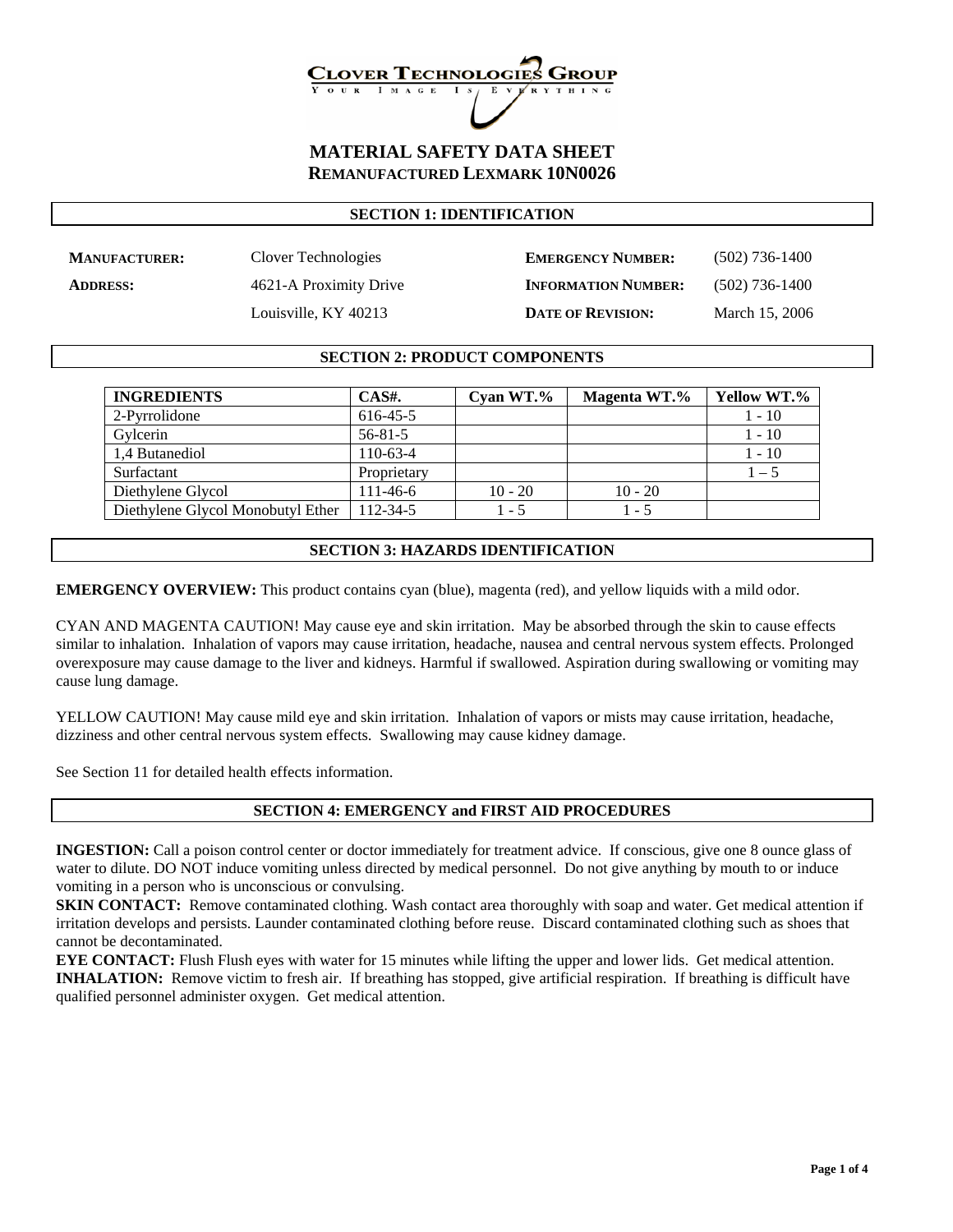## **LOVER TECHNOLOG**

#### **MATERIAL SAFETY DATA SHEET REMANUFACTURED LEXMARK 10N0026**

#### **SECTION 1: IDENTIFICATION**

**MANUFACTURER:** Clover Technologies **EMERGENCY NUMBER:** (502) 736-1400 **ADDRESS:** 4621-A Proximity Drive **INFORMATION NUMBER:** (502) 736-1400 Louisville, KY 40213 **DATE OF REVISION:** March 15, 2006

#### **SECTION 2: PRODUCT COMPONENTS**

| <b>INGREDIENTS</b>                | CAS#.          | Cyan $WT. \%$ | Magenta WT.% | Yellow WT.% |
|-----------------------------------|----------------|---------------|--------------|-------------|
| 2-Pyrrolidone                     | 616-45-5       |               |              | $1 - 10$    |
| Gylcerin                          | $56 - 81 - 5$  |               |              | $1 - 10$    |
| 1.4 Butanediol                    | $110-63-4$     |               |              | $1 - 10$    |
| Surfactant                        | Proprietary    |               |              | $1 - 5$     |
| Diethylene Glycol                 | $111 - 46 - 6$ | $10 - 20$     | $10 - 20$    |             |
| Diethylene Glycol Monobutyl Ether | 112-34-5       | $1 - 5$       | $1 - 5$      |             |

#### **SECTION 3: HAZARDS IDENTIFICATION**

**EMERGENCY OVERVIEW:** This product contains cyan (blue), magenta (red), and yellow liquids with a mild odor.

CYAN AND MAGENTA CAUTION! May cause eye and skin irritation. May be absorbed through the skin to cause effects similar to inhalation. Inhalation of vapors may cause irritation, headache, nausea and central nervous system effects. Prolonged overexposure may cause damage to the liver and kidneys. Harmful if swallowed. Aspiration during swallowing or vomiting may cause lung damage.

YELLOW CAUTION! May cause mild eye and skin irritation. Inhalation of vapors or mists may cause irritation, headache, dizziness and other central nervous system effects. Swallowing may cause kidney damage.

See Section 11 for detailed health effects information.

#### **SECTION 4: EMERGENCY and FIRST AID PROCEDURES**

**INGESTION:** Call a poison control center or doctor immediately for treatment advice. If conscious, give one 8 ounce glass of water to dilute. DO NOT induce vomiting unless directed by medical personnel. Do not give anything by mouth to or induce vomiting in a person who is unconscious or convulsing.

**SKIN CONTACT:** Remove contaminated clothing. Wash contact area thoroughly with soap and water. Get medical attention if irritation develops and persists. Launder contaminated clothing before reuse. Discard contaminated clothing such as shoes that cannot be decontaminated.

**EYE CONTACT:** Flush Flush eyes with water for 15 minutes while lifting the upper and lower lids. Get medical attention. **INHALATION:** Remove victim to fresh air. If breathing has stopped, give artificial respiration. If breathing is difficult have qualified personnel administer oxygen. Get medical attention.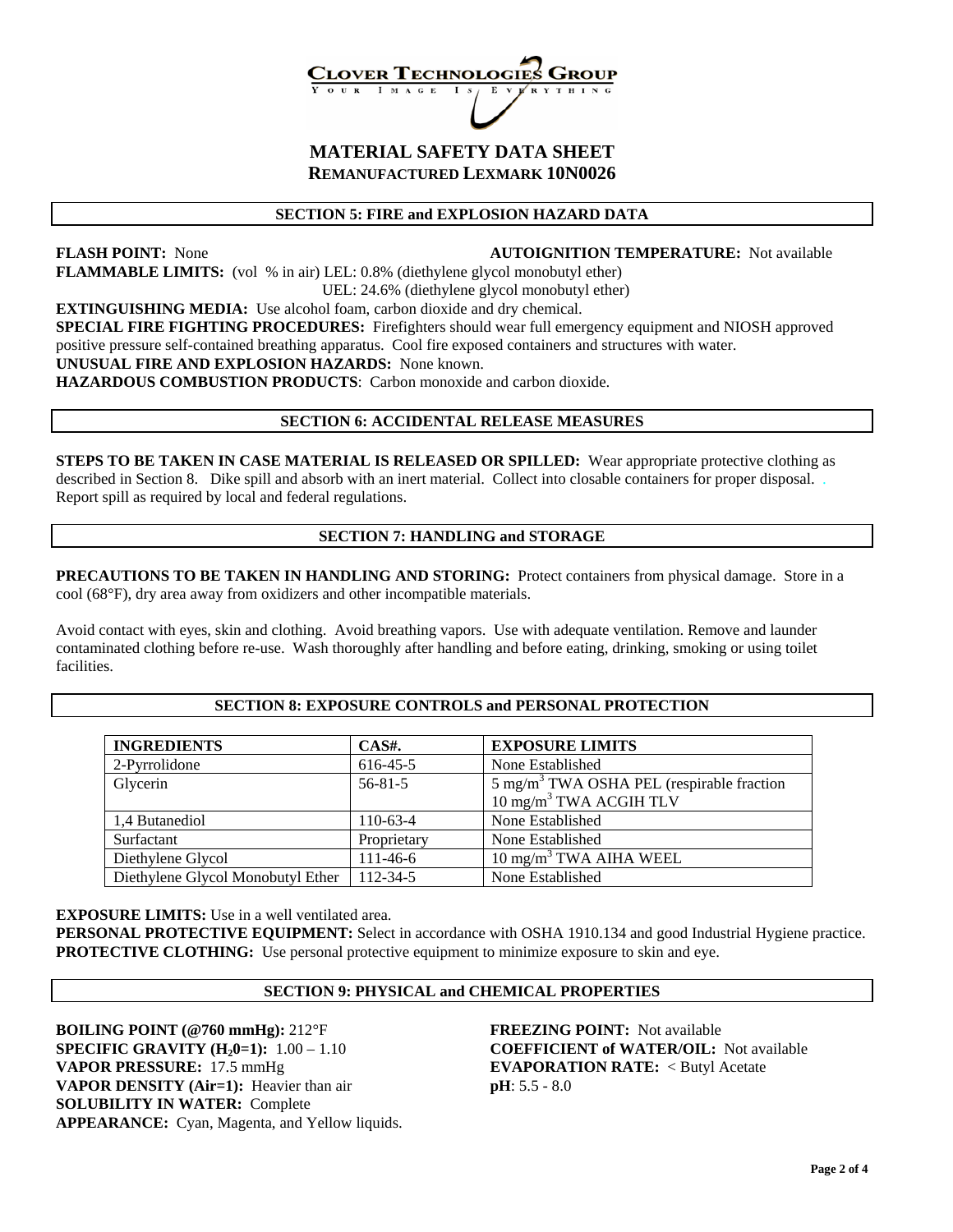# **LOVER TECHNOLOG**

#### **MATERIAL SAFETY DATA SHEET REMANUFACTURED LEXMARK 10N0026**

#### **SECTION 5: FIRE and EXPLOSION HAZARD DATA**

#### **FLASH POINT:** None **AUTOIGNITION TEMPERATURE:** Not available

**FLAMMABLE LIMITS:** (vol % in air) LEL: 0.8% (diethylene glycol monobutyl ether) UEL: 24.6% (diethylene glycol monobutyl ether)

**EXTINGUISHING MEDIA:** Use alcohol foam, carbon dioxide and dry chemical.

**SPECIAL FIRE FIGHTING PROCEDURES:** Firefighters should wear full emergency equipment and NIOSH approved positive pressure self-contained breathing apparatus. Cool fire exposed containers and structures with water.

#### **UNUSUAL FIRE AND EXPLOSION HAZARDS:** None known.

**HAZARDOUS COMBUSTION PRODUCTS**: Carbon monoxide and carbon dioxide.

#### **SECTION 6: ACCIDENTAL RELEASE MEASURES**

**STEPS TO BE TAKEN IN CASE MATERIAL IS RELEASED OR SPILLED:** Wear appropriate protective clothing as described in Section 8. Dike spill and absorb with an inert material. Collect into closable containers for proper disposal. Report spill as required by local and federal regulations.

#### **SECTION 7: HANDLING and STORAGE**

**PRECAUTIONS TO BE TAKEN IN HANDLING AND STORING:** Protect containers from physical damage. Store in a cool (68°F), dry area away from oxidizers and other incompatible materials.

Avoid contact with eyes, skin and clothing. Avoid breathing vapors. Use with adequate ventilation. Remove and launder contaminated clothing before re-use. Wash thoroughly after handling and before eating, drinking, smoking or using toilet facilities.

#### **SECTION 8: EXPOSURE CONTROLS and PERSONAL PROTECTION**

| <b>INGREDIENTS</b>                | $CAS#$ .       | <b>EXPOSURE LIMITS</b>                                                                     |
|-----------------------------------|----------------|--------------------------------------------------------------------------------------------|
| 2-Pyrrolidone                     | 616-45-5       | None Established                                                                           |
| Glycerin                          | $56 - 81 - 5$  | $5 \text{ mg/m}^3$ TWA OSHA PEL (respirable fraction<br>10 mg/m <sup>3</sup> TWA ACGIH TLV |
| 1.4 Butanediol                    | $110-63-4$     | None Established                                                                           |
| Surfactant                        | Proprietary    | None Established                                                                           |
| Diethylene Glycol                 | $111 - 46 - 6$ | $10 \text{ mg/m}^3$ TWA AIHA WEEL                                                          |
| Diethylene Glycol Monobutyl Ether | $112 - 34 - 5$ | None Established                                                                           |

**EXPOSURE LIMITS:** Use in a well ventilated area.

**PERSONAL PROTECTIVE EQUIPMENT:** Select in accordance with OSHA 1910.134 and good Industrial Hygiene practice. **PROTECTIVE CLOTHING:** Use personal protective equipment to minimize exposure to skin and eye.

#### **SECTION 9: PHYSICAL and CHEMICAL PROPERTIES**

**BOILING POINT (@760 mmHg):** 212°F **FREEZING POINT:** Not available **SPECIFIC GRAVITY (H<sub>2</sub>0=1):** 1.00 – 1.10 **COEFFICIENT of WATER/OIL:** Not available **VAPOR PRESSURE:** 17.5 mmHg **EVAPORATION RATE:** < Butyl Acetate **VAPOR DENSITY (Air=1):** Heavier than air **pH**: 5.5 - 8.0 **SOLUBILITY IN WATER:** Complete **APPEARANCE:** Cyan, Magenta, and Yellow liquids.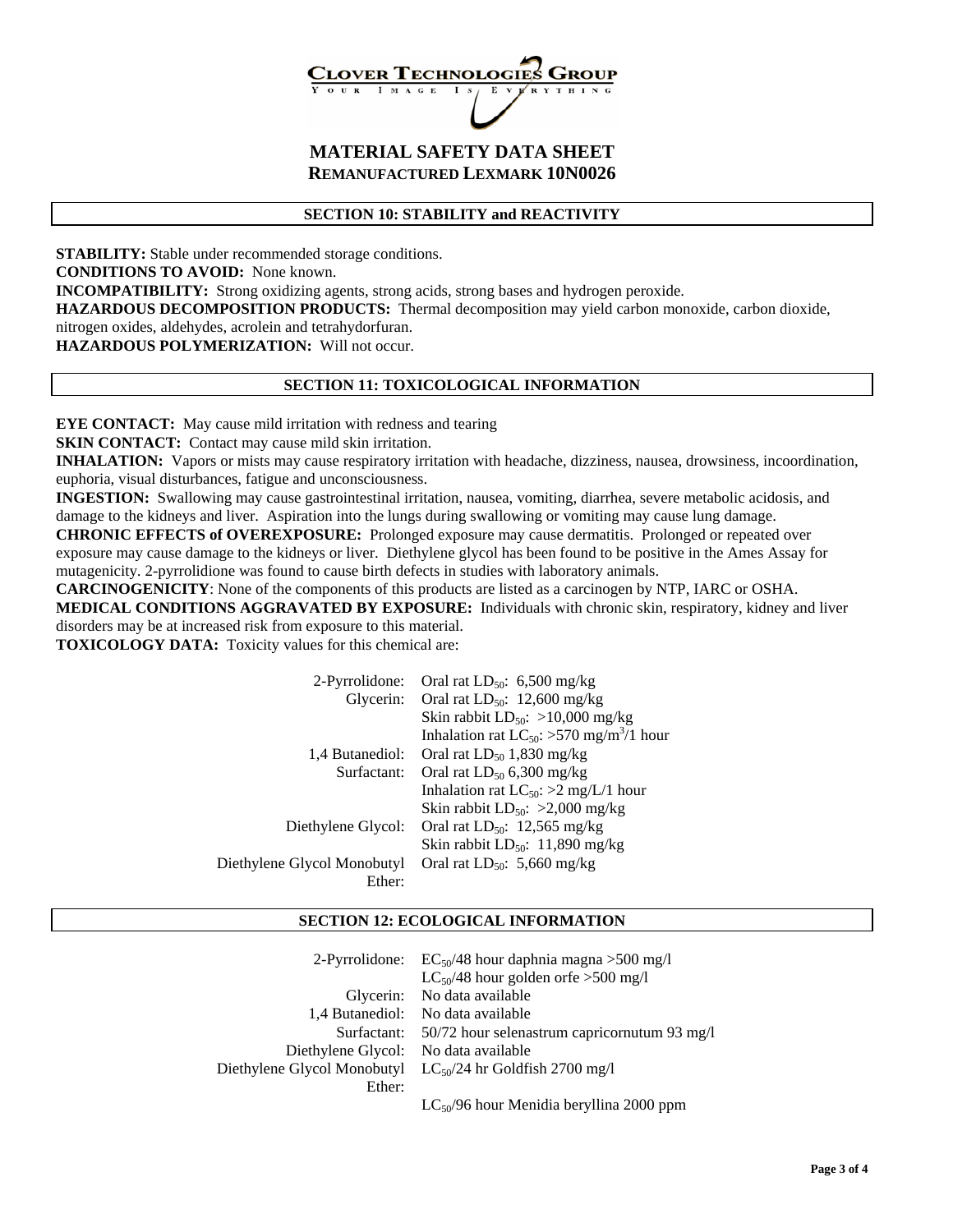## **LOVER TECHNOLOG**

### **MATERIAL SAFETY DATA SHEET REMANUFACTURED LEXMARK 10N0026**

#### **SECTION 10: STABILITY and REACTIVITY**

**STABILITY:** Stable under recommended storage conditions. **CONDITIONS TO AVOID:** None known. **INCOMPATIBILITY:** Strong oxidizing agents, strong acids, strong bases and hydrogen peroxide. **HAZARDOUS DECOMPOSITION PRODUCTS:** Thermal decomposition may yield carbon monoxide, carbon dioxide, nitrogen oxides, aldehydes, acrolein and tetrahydorfuran. **HAZARDOUS POLYMERIZATION:** Will not occur.

#### **SECTION 11: TOXICOLOGICAL INFORMATION**

**EYE CONTACT:** May cause mild irritation with redness and tearing

**SKIN CONTACT:** Contact may cause mild skin irritation.

**INHALATION:** Vapors or mists may cause respiratory irritation with headache, dizziness, nausea, drowsiness, incoordination, euphoria, visual disturbances, fatigue and unconsciousness.

**INGESTION:** Swallowing may cause gastrointestinal irritation, nausea, vomiting, diarrhea, severe metabolic acidosis, and damage to the kidneys and liver. Aspiration into the lungs during swallowing or vomiting may cause lung damage.

**CHRONIC EFFECTS of OVEREXPOSURE:** Prolonged exposure may cause dermatitis. Prolonged or repeated over exposure may cause damage to the kidneys or liver. Diethylene glycol has been found to be positive in the Ames Assay for mutagenicity. 2-pyrrolidione was found to cause birth defects in studies with laboratory animals.

**CARCINOGENICITY**: None of the components of this products are listed as a carcinogen by NTP, IARC or OSHA. **MEDICAL CONDITIONS AGGRAVATED BY EXPOSURE:** Individuals with chronic skin, respiratory, kidney and liver disorders may be at increased risk from exposure to this material.

**TOXICOLOGY DATA:** Toxicity values for this chemical are:

| 2-Pyrrolidone:              | Oral rat $LD_{50}$ : 6,500 mg/kg                          |
|-----------------------------|-----------------------------------------------------------|
|                             | Glycerin: Oral rat $LD_{50}$ : 12,600 mg/kg               |
|                             | Skin rabbit $LD_{50}$ : >10,000 mg/kg                     |
|                             | Inhalation rat $LC_{50}$ : >570 mg/m <sup>3</sup> /1 hour |
| 1.4 Butanediol:             | Oral rat $LD_{50}$ 1,830 mg/kg                            |
| Surfactant:                 | Oral rat $LD_{50}$ 6,300 mg/kg                            |
|                             | Inhalation rat $LC_{50}$ : >2 mg/L/1 hour                 |
|                             | Skin rabbit $LD_{50}$ : >2,000 mg/kg                      |
| Diethylene Glycol:          | Oral rat $LD_{50}$ : 12,565 mg/kg                         |
|                             | Skin rabbit $LD_{50}$ : 11,890 mg/kg                      |
| Diethylene Glycol Monobutyl | Oral rat $LD_{50}$ : 5,660 mg/kg                          |
| Ether:                      |                                                           |

#### **SECTION 12: ECOLOGICAL INFORMATION**

| 2-Pyrrolidone:              | $EC_{50}/48$ hour daphnia magna > 500 mg/l<br>$LC_{50}/48$ hour golden orfe >500 mg/l |
|-----------------------------|---------------------------------------------------------------------------------------|
| Glycerin:                   | No data available                                                                     |
| 1.4 Butanediol:             | No data available                                                                     |
| Surfactant:                 | 50/72 hour selenastrum capricornutum 93 mg/l                                          |
| Diethylene Glycol:          | No data available                                                                     |
| Diethylene Glycol Monobutyl | $LC_{50}/24$ hr Goldfish 2700 mg/l                                                    |
| Ether:                      |                                                                                       |
|                             | $LC_{50}/96$ hour Menidia beryllina 2000 ppm                                          |